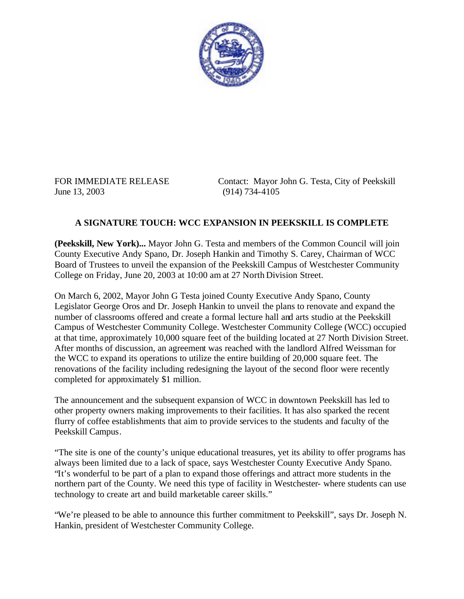

June 13, 2003 (914) 734-4105

FOR IMMEDIATE RELEASE Contact: Mayor John G. Testa, City of Peekskill

## **A SIGNATURE TOUCH: WCC EXPANSION IN PEEKSKILL IS COMPLETE**

**(Peekskill, New York)...** Mayor John G. Testa and members of the Common Council will join County Executive Andy Spano, Dr. Joseph Hankin and Timothy S. Carey, Chairman of WCC Board of Trustees to unveil the expansion of the Peekskill Campus of Westchester Community College on Friday, June 20, 2003 at 10:00 am at 27 North Division Street.

On March 6, 2002, Mayor John G Testa joined County Executive Andy Spano, County Legislator George Oros and Dr. Joseph Hankin to unveil the plans to renovate and expand the number of classrooms offered and create a formal lecture hall and arts studio at the Peekskill Campus of Westchester Community College. Westchester Community College (WCC) occupied at that time, approximately 10,000 square feet of the building located at 27 North Division Street. After months of discussion, an agreement was reached with the landlord Alfred Weissman for the WCC to expand its operations to utilize the entire building of 20,000 square feet. The renovations of the facility including redesigning the layout of the second floor were recently completed for approximately \$1 million.

The announcement and the subsequent expansion of WCC in downtown Peekskill has led to other property owners making improvements to their facilities. It has also sparked the recent flurry of coffee establishments that aim to provide services to the students and faculty of the Peekskill Campus.

"The site is one of the county's unique educational treasures, yet its ability to offer programs has always been limited due to a lack of space, says Westchester County Executive Andy Spano. "It's wonderful to be part of a plan to expand those offerings and attract more students in the northern part of the County. We need this type of facility in Westchester- where students can use technology to create art and build marketable career skills."

"We're pleased to be able to announce this further commitment to Peekskill", says Dr. Joseph N. Hankin, president of Westchester Community College.